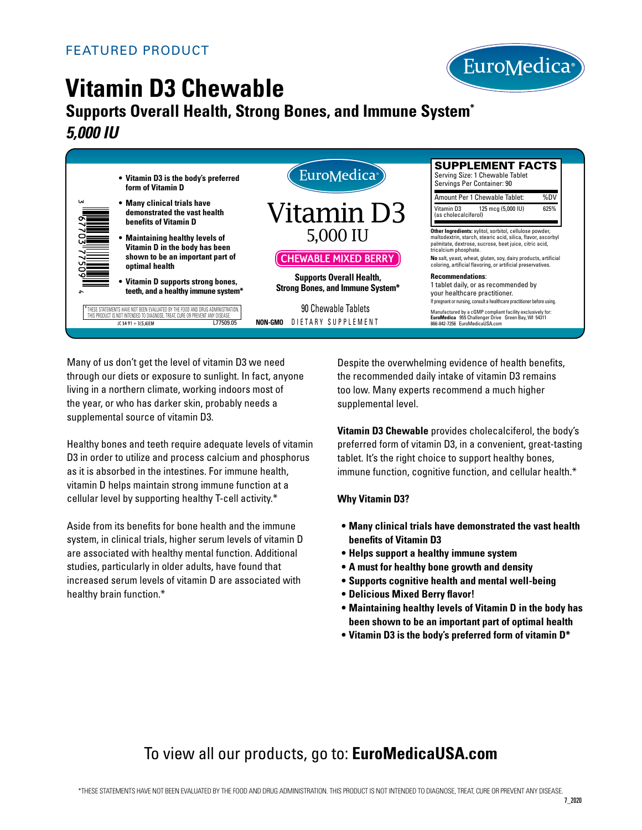

# **Vitamin D3 Chewable**

## **Supports Overall Health, Strong Bones, and Immune System\*** *5,000 IU*



Many of us don't get the level of vitamin D3 we need through our diets or exposure to sunlight. In fact, anyone living in a northern climate, working indoors most of the year, or who has darker skin, probably needs a supplemental source of vitamin D3.

Healthy bones and teeth require adequate levels of vitamin D3 in order to utilize and process calcium and phosphorus as it is absorbed in the intestines. For immune health, vitamin D helps maintain strong immune function at a cellular level by supporting healthy T-cell activity.\*

Aside from its benefits for bone health and the immune system, in clinical trials, higher serum levels of vitamin D are associated with healthy mental function. Additional studies, particularly in older adults, have found that increased serum levels of vitamin D are associated with healthy brain function.\*

Despite the overwhelming evidence of health benefits, the recommended daily intake of vitamin D3 remains too low. Many experts recommend a much higher supplemental level.

**Vitamin D3 Chewable** provides cholecalciferol, the body's preferred form of vitamin D3, in a convenient, great-tasting tablet. It's the right choice to support healthy bones, immune function, cognitive function, and cellular health.\*

#### **Why Vitamin D3?**

- **Many clinical trials have demonstrated the vast health benefits of Vitamin D3**
- **• Helps support a healthy immune system**
- **• A must for healthy bone growth and density**
- **• Supports cognitive health and mental well-being**
- **• Delicious Mixed Berry flavor!**
- **Maintaining healthy levels of Vitamin D in the body has been shown to be an important part of optimal health**
- **• Vitamin D3 is the body's preferred form of vitamin D\***

## To view all our products, go to: **EuroMedicaUSA.com**